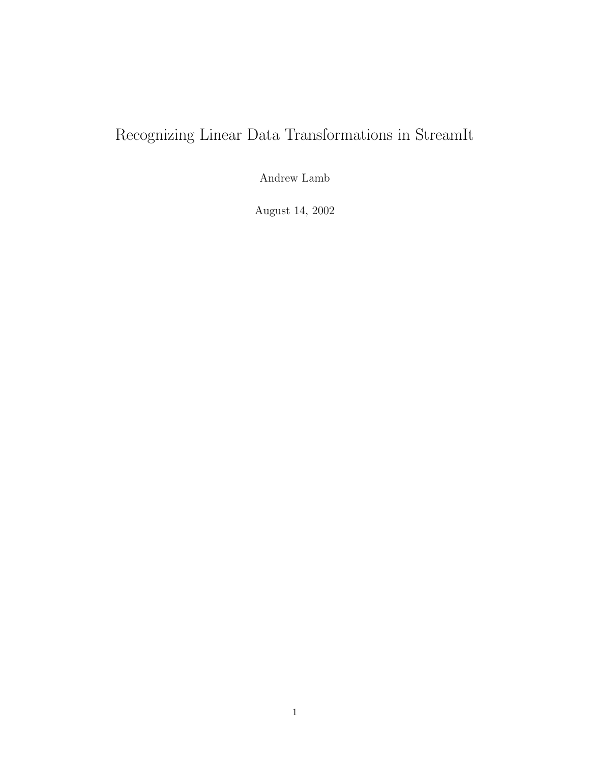# Recognizing Linear Data Transformations in StreamIt

Andrew Lamb

August 14, 2002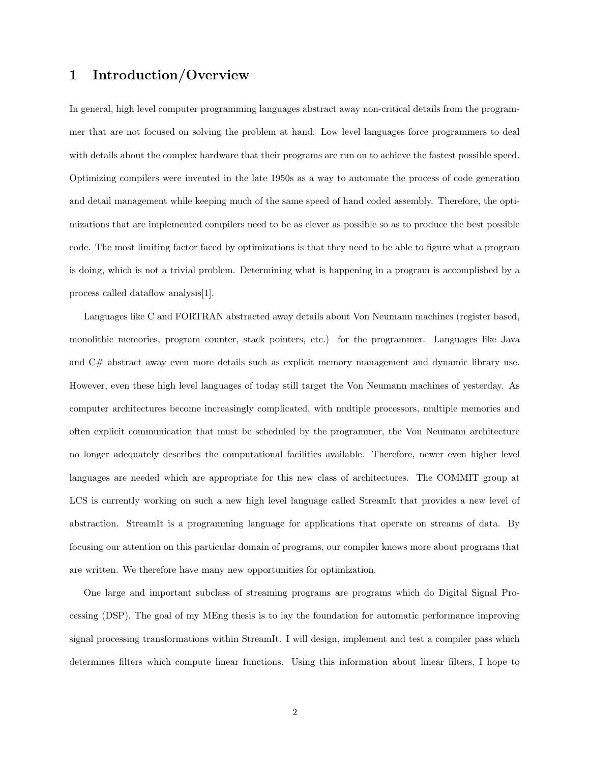# 1 Introduction/Overview

In general, high level computer programming languages abstract away non-critical details from the programmer that are not focused on solving the problem at hand. Low level languages force programmers to deal with details about the complex hardware that their programs are run on to achieve the fastest possible speed. Optimizing compilers were invented in the late 1950s as a way to automate the process of code generation and detail management while keeping much of the same speed of hand coded assembly. Therefore, the optimizations that are implemented compilers need to be as clever as possible so as to produce the best possible code. The most limiting factor faced by optimizations is that they need to be able to figure what a program is doing, which is not a trivial problem. Determining what is happening in a program is accomplished by a process called dataflow analysis[1].

Languages like C and FORTRAN abstracted away details about Von Neumann machines (register based, monolithic memories, program counter, stack pointers, etc.) for the programmer. Languages like Java and C# abstract away even more details such as explicit memory management and dynamic library use. However, even these high level languages of today still target the Von Neumann machines of yesterday. As computer architectures become increasingly complicated, with multiple processors, multiple memories and often explicit communication that must be scheduled by the programmer, the Von Neumann architecture no longer adequately describes the computational facilities available. Therefore, newer even higher level languages are needed which are appropriate for this new class of architectures. The COMMIT group at LCS is currently working on such a new high level language called StreamIt that provides a new level of abstraction. StreamIt is a programming language for applications that operate on streams of data. By focusing our attention on this particular domain of programs, our compiler knows more about programs that are written. We therefore have many new opportunities for optimization.

One large and important subclass of streaming programs are programs which do Digital Signal Processing (DSP). The goal of my MEng thesis is to lay the foundation for automatic performance improving signal processing transformations within StreamIt. I will design, implement and test a compiler pass which determines filters which compute linear functions. Using this information about linear filters, I hope to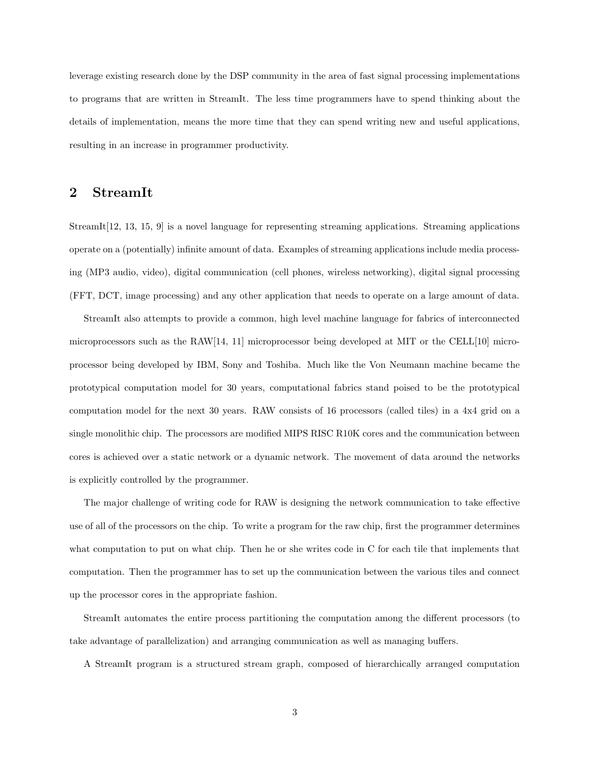leverage existing research done by the DSP community in the area of fast signal processing implementations to programs that are written in StreamIt. The less time programmers have to spend thinking about the details of implementation, means the more time that they can spend writing new and useful applications, resulting in an increase in programmer productivity.

# 2 StreamIt

StreamIt[12, 13, 15, 9] is a novel language for representing streaming applications. Streaming applications operate on a (potentially) infinite amount of data. Examples of streaming applications include media processing (MP3 audio, video), digital communication (cell phones, wireless networking), digital signal processing (FFT, DCT, image processing) and any other application that needs to operate on a large amount of data.

StreamIt also attempts to provide a common, high level machine language for fabrics of interconnected microprocessors such as the RAW[14, 11] microprocessor being developed at MIT or the CELL[10] microprocessor being developed by IBM, Sony and Toshiba. Much like the Von Neumann machine became the prototypical computation model for 30 years, computational fabrics stand poised to be the prototypical computation model for the next 30 years. RAW consists of 16 processors (called tiles) in a 4x4 grid on a single monolithic chip. The processors are modified MIPS RISC R10K cores and the communication between cores is achieved over a static network or a dynamic network. The movement of data around the networks is explicitly controlled by the programmer.

The major challenge of writing code for RAW is designing the network communication to take effective use of all of the processors on the chip. To write a program for the raw chip, first the programmer determines what computation to put on what chip. Then he or she writes code in C for each tile that implements that computation. Then the programmer has to set up the communication between the various tiles and connect up the processor cores in the appropriate fashion.

StreamIt automates the entire process partitioning the computation among the different processors (to take advantage of parallelization) and arranging communication as well as managing buffers.

A StreamIt program is a structured stream graph, composed of hierarchically arranged computation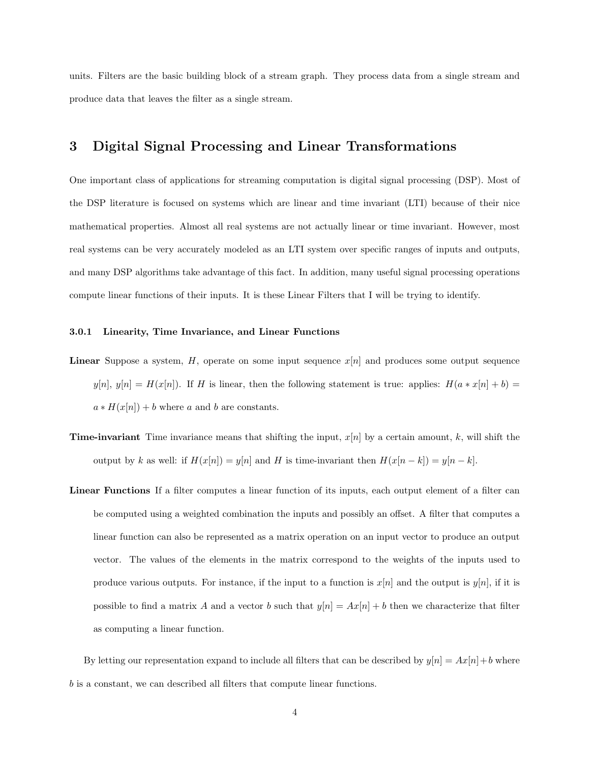units. Filters are the basic building block of a stream graph. They process data from a single stream and produce data that leaves the filter as a single stream.

## 3 Digital Signal Processing and Linear Transformations

One important class of applications for streaming computation is digital signal processing (DSP). Most of the DSP literature is focused on systems which are linear and time invariant (LTI) because of their nice mathematical properties. Almost all real systems are not actually linear or time invariant. However, most real systems can be very accurately modeled as an LTI system over specific ranges of inputs and outputs, and many DSP algorithms take advantage of this fact. In addition, many useful signal processing operations compute linear functions of their inputs. It is these Linear Filters that I will be trying to identify.

#### 3.0.1 Linearity, Time Invariance, and Linear Functions

- **Linear** Suppose a system,  $H$ , operate on some input sequence  $x[n]$  and produces some output sequence  $y[n], y[n] = H(x[n])$ . If H is linear, then the following statement is true: applies:  $H(a * x[n] + b) =$  $a * H(x[n]) + b$  where a and b are constants.
- **Time-invariant** Time invariance means that shifting the input,  $x[n]$  by a certain amount, k, will shift the output by k as well: if  $H(x[n]) = y[n]$  and H is time-invariant then  $H(x[n-k]) = y[n-k]$ .
- Linear Functions If a filter computes a linear function of its inputs, each output element of a filter can be computed using a weighted combination the inputs and possibly an offset. A filter that computes a linear function can also be represented as a matrix operation on an input vector to produce an output vector. The values of the elements in the matrix correspond to the weights of the inputs used to produce various outputs. For instance, if the input to a function is  $x[n]$  and the output is  $y[n]$ , if it is possible to find a matrix A and a vector b such that  $y[n] = Ax[n] + b$  then we characterize that filter as computing a linear function.

By letting our representation expand to include all filters that can be described by  $y[n] = Ax[n] + b$  where b is a constant, we can described all filters that compute linear functions.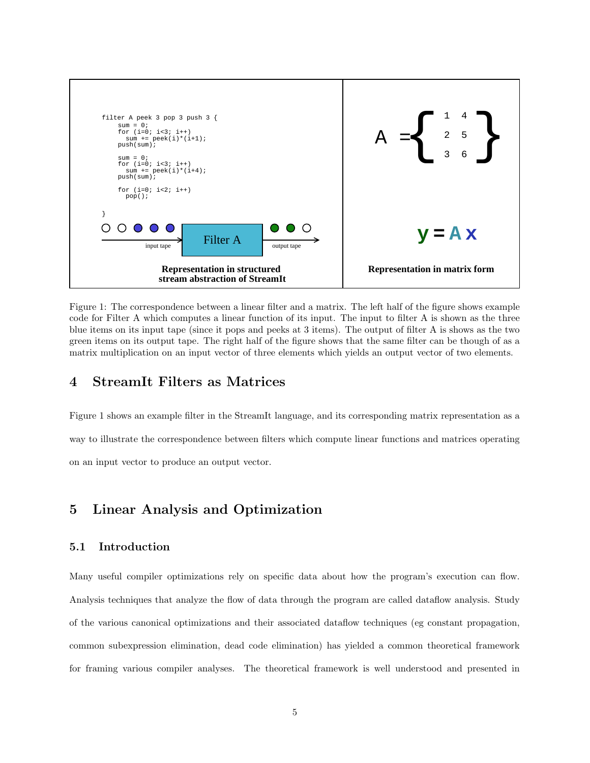

Figure 1: The correspondence between a linear filter and a matrix. The left half of the figure shows example code for Filter A which computes a linear function of its input. The input to filter A is shown as the three blue items on its input tape (since it pops and peeks at 3 items). The output of filter A is shows as the two green items on its output tape. The right half of the figure shows that the same filter can be though of as a matrix multiplication on an input vector of three elements which yields an output vector of two elements.

# 4 StreamIt Filters as Matrices

Figure 1 shows an example filter in the StreamIt language, and its corresponding matrix representation as a way to illustrate the correspondence between filters which compute linear functions and matrices operating on an input vector to produce an output vector.

# 5 Linear Analysis and Optimization

### 5.1 Introduction

Many useful compiler optimizations rely on specific data about how the program's execution can flow. Analysis techniques that analyze the flow of data through the program are called dataflow analysis. Study of the various canonical optimizations and their associated dataflow techniques (eg constant propagation, common subexpression elimination, dead code elimination) has yielded a common theoretical framework for framing various compiler analyses. The theoretical framework is well understood and presented in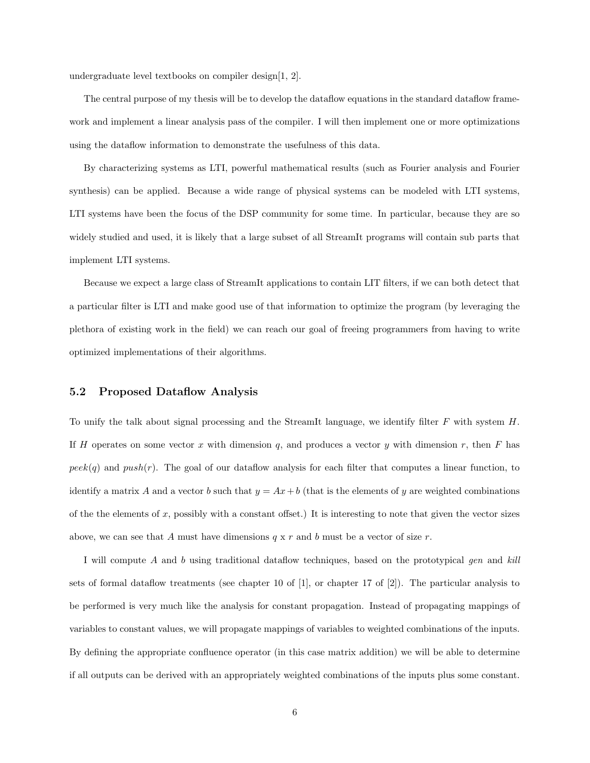undergraduate level textbooks on compiler design[1, 2].

The central purpose of my thesis will be to develop the dataflow equations in the standard dataflow framework and implement a linear analysis pass of the compiler. I will then implement one or more optimizations using the dataflow information to demonstrate the usefulness of this data.

By characterizing systems as LTI, powerful mathematical results (such as Fourier analysis and Fourier synthesis) can be applied. Because a wide range of physical systems can be modeled with LTI systems, LTI systems have been the focus of the DSP community for some time. In particular, because they are so widely studied and used, it is likely that a large subset of all StreamIt programs will contain sub parts that implement LTI systems.

Because we expect a large class of StreamIt applications to contain LIT filters, if we can both detect that a particular filter is LTI and make good use of that information to optimize the program (by leveraging the plethora of existing work in the field) we can reach our goal of freeing programmers from having to write optimized implementations of their algorithms.

#### 5.2 Proposed Dataflow Analysis

To unify the talk about signal processing and the StreamIt language, we identify filter F with system H. If H operates on some vector x with dimension q, and produces a vector y with dimension  $r$ , then F has  $peek(q)$  and  $push(r)$ . The goal of our dataflow analysis for each filter that computes a linear function, to identify a matrix A and a vector b such that  $y = Ax + b$  (that is the elements of y are weighted combinations of the the elements of  $x$ , possibly with a constant offset.) It is interesting to note that given the vector sizes above, we can see that A must have dimensions  $q \times r$  and b must be a vector of size r.

I will compute A and b using traditional dataflow techniques, based on the prototypical gen and kill sets of formal dataflow treatments (see chapter 10 of [1], or chapter 17 of [2]). The particular analysis to be performed is very much like the analysis for constant propagation. Instead of propagating mappings of variables to constant values, we will propagate mappings of variables to weighted combinations of the inputs. By defining the appropriate confluence operator (in this case matrix addition) we will be able to determine if all outputs can be derived with an appropriately weighted combinations of the inputs plus some constant.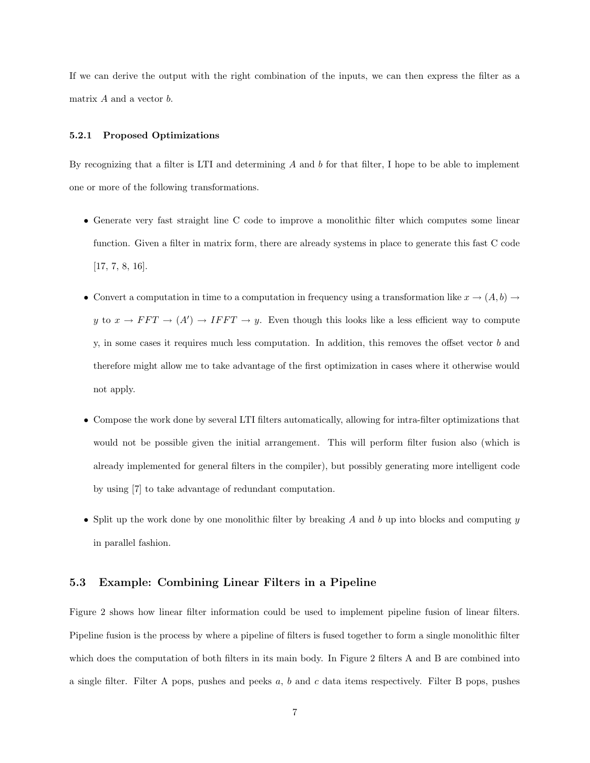If we can derive the output with the right combination of the inputs, we can then express the filter as a matrix  $A$  and a vector  $b$ .

#### 5.2.1 Proposed Optimizations

By recognizing that a filter is LTI and determining  $A$  and  $b$  for that filter, I hope to be able to implement one or more of the following transformations.

- Generate very fast straight line C code to improve a monolithic filter which computes some linear function. Given a filter in matrix form, there are already systems in place to generate this fast C code [17, 7, 8, 16].
- Convert a computation in time to a computation in frequency using a transformation like  $x \to (A, b) \to$ y to  $x \to FFT \to (A') \to IFFT \to y$ . Even though this looks like a less efficient way to compute y, in some cases it requires much less computation. In addition, this removes the offset vector b and therefore might allow me to take advantage of the first optimization in cases where it otherwise would not apply.
- Compose the work done by several LTI filters automatically, allowing for intra-filter optimizations that would not be possible given the initial arrangement. This will perform filter fusion also (which is already implemented for general filters in the compiler), but possibly generating more intelligent code by using [7] to take advantage of redundant computation.
- Split up the work done by one monolithic filter by breaking  $A$  and  $b$  up into blocks and computing  $y$ in parallel fashion.

## 5.3 Example: Combining Linear Filters in a Pipeline

Figure 2 shows how linear filter information could be used to implement pipeline fusion of linear filters. Pipeline fusion is the process by where a pipeline of filters is fused together to form a single monolithic filter which does the computation of both filters in its main body. In Figure 2 filters A and B are combined into a single filter. Filter A pops, pushes and peeks a, b and c data items respectively. Filter B pops, pushes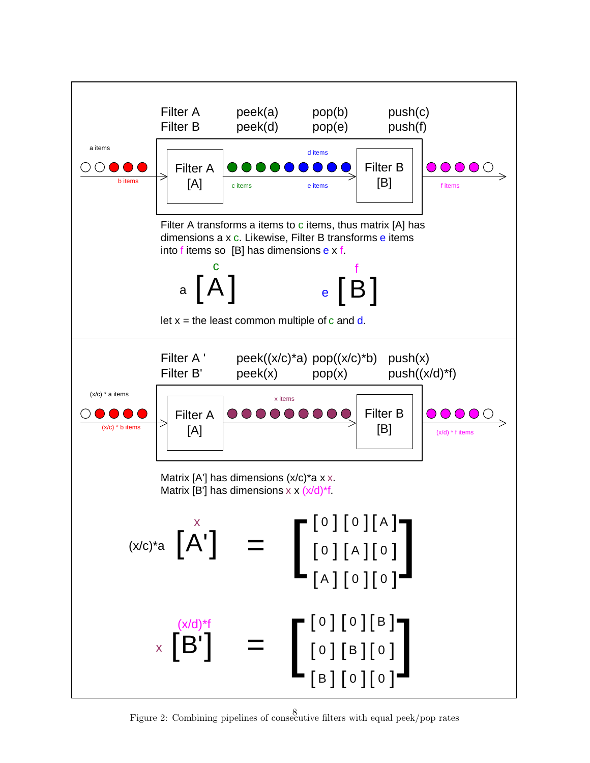

Figure 2: Combining pipelines of consecutive filters with equal peek/pop rates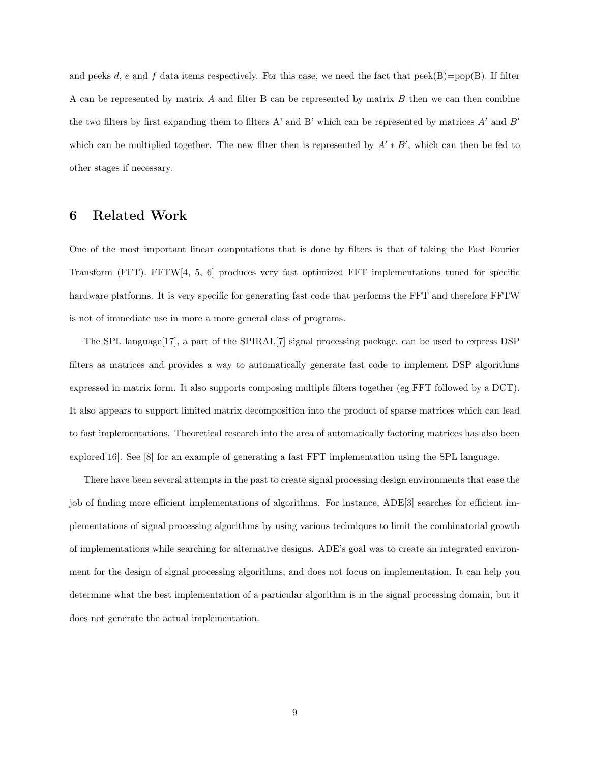and peeks d, e and f data items respectively. For this case, we need the fact that peek(B)=pop(B). If filter A can be represented by matrix A and filter B can be represented by matrix B then we can then combine the two filters by first expanding them to filters A' and B' which can be represented by matrices  $A'$  and  $B'$ which can be multiplied together. The new filter then is represented by  $A' * B'$ , which can then be fed to other stages if necessary.

# 6 Related Work

One of the most important linear computations that is done by filters is that of taking the Fast Fourier Transform (FFT). FFTW[4, 5, 6] produces very fast optimized FFT implementations tuned for specific hardware platforms. It is very specific for generating fast code that performs the FFT and therefore FFTW is not of immediate use in more a more general class of programs.

The SPL language[17], a part of the SPIRAL[7] signal processing package, can be used to express DSP filters as matrices and provides a way to automatically generate fast code to implement DSP algorithms expressed in matrix form. It also supports composing multiple filters together (eg FFT followed by a DCT). It also appears to support limited matrix decomposition into the product of sparse matrices which can lead to fast implementations. Theoretical research into the area of automatically factoring matrices has also been explored[16]. See [8] for an example of generating a fast FFT implementation using the SPL language.

There have been several attempts in the past to create signal processing design environments that ease the job of finding more efficient implementations of algorithms. For instance, ADE[3] searches for efficient implementations of signal processing algorithms by using various techniques to limit the combinatorial growth of implementations while searching for alternative designs. ADE's goal was to create an integrated environment for the design of signal processing algorithms, and does not focus on implementation. It can help you determine what the best implementation of a particular algorithm is in the signal processing domain, but it does not generate the actual implementation.